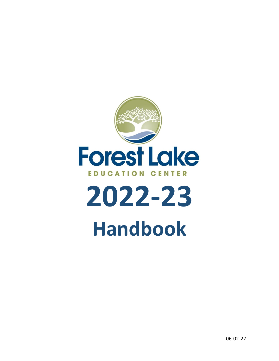

# **2022-23 Handbook**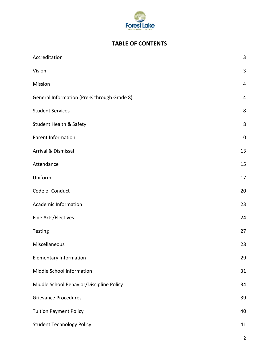

# **TABLE OF CONTENTS**

| Accreditation                               | $\mathbf{3}$ |
|---------------------------------------------|--------------|
| Vision                                      | $\mathbf{3}$ |
| Mission                                     | 4            |
| General Information (Pre-K through Grade 8) | 4            |
| <b>Student Services</b>                     | $\bf 8$      |
| Student Health & Safety                     | $\bf 8$      |
| Parent Information                          | 10           |
| Arrival & Dismissal                         | 13           |
| Attendance                                  | 15           |
| Uniform                                     | 17           |
| Code of Conduct                             | 20           |
| <b>Academic Information</b>                 | 23           |
| Fine Arts/Electives                         | 24           |
| Testing                                     | 27           |
| Miscellaneous                               | 28           |
| <b>Elementary Information</b>               | 29           |
| Middle School Information                   | 31           |
| Middle School Behavior/Discipline Policy    | 34           |
| <b>Grievance Procedures</b>                 | 39           |
| <b>Tuition Payment Policy</b>               | 40           |
| <b>Student Technology Policy</b>            | 41           |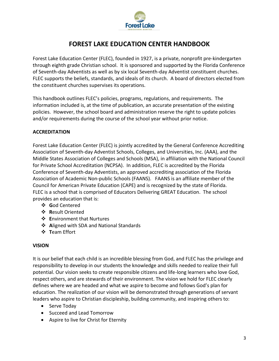

# **FOREST LAKE EDUCATION CENTER HANDBOOK**

Forest Lake Education Center (FLEC), founded in 1927, is a private, nonprofit pre-kindergarten through eighth grade Christian school. It is sponsored and supported by the Florida Conference of Seventh-day Adventists as well as by six local Seventh-day Adventist constituent churches. FLEC supports the beliefs, standards, and ideals of its church. A board of directors elected from the constituent churches supervises its operations.

This handbook outlines FLEC's policies, programs, regulations, and requirements. The information included is, at the time of publication, an accurate presentation of the existing policies. However, the school board and administration reserve the right to update policies and/or requirements during the course of the school year without prior notice.

# **ACCREDITATION**

Forest Lake Education Center (FLEC) is jointly accredited by the General Conference Accrediting Association of Seventh-day Adventist Schools, Colleges, and Universities, Inc. (AAA), and the Middle States Association of Colleges and Schools (MSA), in affiliation with the National Council for Private School Accreditation (NCPSA). In addition, FLEC is accredited by the Florida Conference of Seventh-day Adventists, an approved accrediting association of the Florida Association of Academic Non-public Schools (FAANS). FAANS is an affiliate member of the Council for American Private Education (CAPE) and is recognized by the state of Florida. FLEC is a school that is comprised of Educators Delivering GREAT Education. The school provides an education that is:

- ❖ **G**od Centered
- ❖ **R**esult Oriented
- ❖ **E**nvironment that Nurtures
- ❖ **A**ligned with SDA and National Standards
- ❖ **T**eam Effort

# **VISION**

It is our belief that each child is an incredible blessing from God, and FLEC has the privilege and responsibility to develop in our students the knowledge and skills needed to realize their full potential. Our vision seeks to create responsible citizens and life-long learners who love God, respect others, and are stewards of their environment. The vision we hold for FLEC clearly defines where we are headed and what we aspire to become and follows God's plan for education. The realization of our vision will be demonstrated through generations of servant leaders who aspire to Christian discipleship, building community, and inspiring others to:

- Serve Today
- Succeed and Lead Tomorrow
- Aspire to live for Christ for Eternity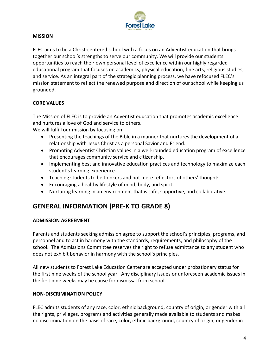

## **MISSION**

FLEC aims to be a Christ-centered school with a focus on an Adventist education that brings together our school's strengths to serve our community. We will provide our students opportunities to reach their own personal level of excellence within our highly regarded educational program that focuses on academics, physical education, fine arts, religious studies, and service. As an integral part of the strategic planning process, we have refocused FLEC's mission statement to reflect the renewed purpose and direction of our school while keeping us grounded.

# **CORE VALUES**

The Mission of FLEC is to provide an Adventist education that promotes academic excellence and nurtures a love of God and service to others.

We will fulfill our mission by focusing on:

- Presenting the teachings of the Bible in a manner that nurtures the development of a relationship with Jesus Christ as a personal Savior and Friend.
- Promoting Adventist Christian values in a well-rounded education program of excellence that encourages community service and citizenship.
- Implementing best and innovative education practices and technology to maximize each student's learning experience.
- Teaching students to be thinkers and not mere reflectors of others' thoughts.
- Encouraging a healthy lifestyle of mind, body, and spirit.
- Nurturing learning in an environment that is safe, supportive, and collaborative.

# **GENERAL INFORMATION (PRE-K TO GRADE 8)**

#### **ADMISSION AGREEMENT**

Parents and students seeking admission agree to support the school's principles, programs, and personnel and to act in harmony with the standards, requirements, and philosophy of the school. The Admissions Committee reserves the right to refuse admittance to any student who does not exhibit behavior in harmony with the school's principles.

All new students to Forest Lake Education Center are accepted under probationary status for the first nine weeks of the school year. Any disciplinary issues or unforeseen academic issues in the first nine weeks may be cause for dismissal from school.

#### **NON-DISCRIMINATION POLICY**

FLEC admits students of any race, color, ethnic background, country of origin, or gender with all the rights, privileges, programs and activities generally made available to students and makes no discrimination on the basis of race, color, ethnic background, country of origin, or gender in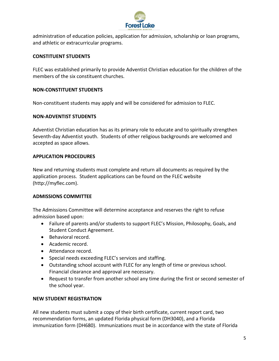

administration of education policies, application for admission, scholarship or loan programs, and athletic or extracurricular programs.

# **CONSTITUENT STUDENTS**

FLEC was established primarily to provide Adventist Christian education for the children of the members of the six constituent churches.

# **NON-CONSTITUENT STUDENTS**

Non-constituent students may apply and will be considered for admission to FLEC.

# **NON-ADVENTIST STUDENTS**

Adventist Christian education has as its primary role to educate and to spiritually strengthen Seventh-day Adventist youth. Students of other religious backgrounds are welcomed and accepted as space allows.

# **APPLICATION PROCEDURES**

New and returning students must complete and return all documents as required by the application process. Student applications can be found on the FLEC website [\(http://myflec.com\)](http://myflec.com/).

# **ADMISSIONS COMMITTEE**

The Admissions Committee will determine acceptance and reserves the right to refuse admission based upon:

- Failure of parents and/or students to support FLEC's Mission, Philosophy, Goals, and Student Conduct Agreement.
- Behavioral record.
- Academic record.
- Attendance record.
- Special needs exceeding FLEC's services and staffing.
- Outstanding school account with FLEC for any length of time or previous school. Financial clearance and approval are necessary.
- Request to transfer from another school any time during the first or second semester of the school year.

# **NEW STUDENT REGISTRATION**

All new students must submit a copy of their birth certificate, current report card, two recommendation forms, an updated Florida physical form (DH3040), and a Florida immunization form (DH680). Immunizations must be in accordance with the state of Florida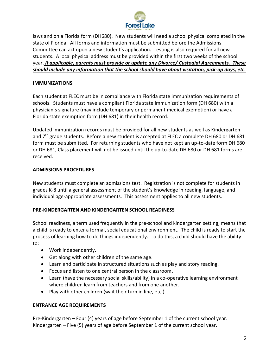

laws and on a Florida form (DH680). New students will need a school physical completed in the state of Florida. All forms and information must be submitted before the Admissions Committee can act upon a new student's application. Testing is also required for all new students. A local physical address must be provided within the first two weeks of the school year. *If applicable, parents must provide or update any Divorce/ Custodial Agreements. These should include any information that the school should have about visitation, pick-up days, etc.*

#### **IMMUNIZATIONS**

Each student at FLEC must be in compliance with Florida state immunization requirements of schools. Students must have a compliant Florida state immunization form (DH 680) with a physician's signature (may include temporary or permanent medical exemption) or have a Florida state exemption form (DH 681) in their health record.

Updated immunization records must be provided for all new students as well as Kindergarten and 7<sup>th</sup> grade students. Before a new student is accepted at FLEC a complete DH 680 or DH 681 form must be submitted. For returning students who have not kept an up-to-date form DH 680 or DH 681, Class placement will not be issued until the up-to-date DH 680 or DH 681 forms are received.

# **ADMISSIONS PROCEDURES**

New students must complete an admissions test. Registration is not complete for students in grades K-8 until a general assessment of the student's knowledge in reading, language, and individual age-appropriate assessments. This assessment applies to all new students.

#### **PRE-KINDERGARTEN AND KINDERGARTEN SCHOOL READINESS**

School readiness, a term used frequently in the pre-school and kindergarten setting, means that a child is ready to enter a formal, social educational environment. The child is ready to start the process of learning how to do things independently. To do this, a child should have the ability to:

- Work independently.
- Get along with other children of the same age.
- Learn and participate in structured situations such as play and story reading.
- Focus and listen to one central person in the classroom.
- Learn (have the necessary social skills/ability) in a co-operative learning environment where children learn from teachers and from one another.
- Play with other children (wait their turn in line, etc.).

# **ENTRANCE AGE REQUIREMENTS**

Pre-Kindergarten – Four (4) years of age before September 1 of the current school year. Kindergarten – Five (5) years of age before September 1 of the current school year.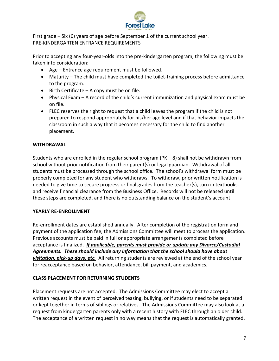

First grade – Six (6) years of age before September 1 of the current school year. PRE-KINDERGARTEN ENTRANCE REQUIREMENTS

Prior to accepting any four-year-olds into the pre-kindergarten program, the following must be taken into consideration:

- Age Entrance age requirement must be followed.
- Maturity The child must have completed the toilet-training process before admittance to the program.
- Birth Certificate A copy must be on file.
- Physical Exam A record of the child's current immunization and physical exam must be on file.
- FLEC reserves the right to request that a child leaves the program if the child is not prepared to respond appropriately for his/her age level and if that behavior impacts the classroom in such a way that it becomes necessary for the child to find another placement.

# **WITHDRAWAL**

Students who are enrolled in the regular school program (PK – 8) shall not be withdrawn from school without prior notification from their parent(s) or legal guardian. Withdrawal of all students must be processed through the school office. The school's withdrawal form must be properly completed for any student who withdraws. To withdraw, prior written notification is needed to give time to secure progress or final grades from the teacher(s), turn in textbooks, and receive financial clearance from the Business Office. Records will not be released until these steps are completed, and there is no outstanding balance on the student's account.

# **YEARLY RE-ENROLLMENT**

Re-enrollment dates are established annually. After completion of the registration form and payment of the application fee, the Admissions Committee will meet to process the application. Previous accounts must be paid in full or appropriate arrangements completed before acceptance is finalized. *If applicable, parents must provide or update any Divorce/Custodial Agreements. These should include any information that the school should have about visitation, pick-up days, etc.* All returning students are reviewed at the end of the school year for reacceptance based on behavior, attendance, bill payment, and academics.

# **CLASS PLACEMENT FOR RETURNING STUDENTS**

Placement requests are not accepted. The Admissions Committee may elect to accept a written request in the event of perceived teasing, bullying, or if students need to be separated or kept together in terms of siblings or relatives. The Admissions Committee may also look at a request from kindergarten parents only with a recent history with FLEC through an older child. The acceptance of a written request in no way means that the request is automatically granted.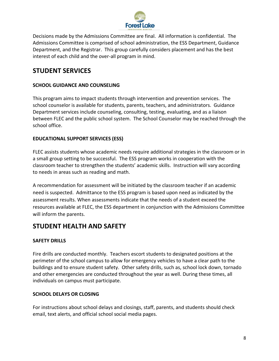

Decisions made by the Admissions Committee are final. All information is confidential. The Admissions Committee is comprised of school administration, the ESS Department, Guidance Department, and the Registrar. This group carefully considers placement and has the best interest of each child and the over-all program in mind.

# **STUDENT SERVICES**

# **SCHOOL GUIDANCE AND COUNSELING**

This program aims to impact students through intervention and prevention services. The school counselor is available for students, parents, teachers, and administrators. Guidance Department services include counseling, consulting, testing, evaluating, and as a liaison between FLEC and the public school system. The School Counselor may be reached through the school office.

# **EDUCATIONAL SUPPORT SERVICES (ESS)**

FLEC assists students whose academic needs require additional strategies in the classroom or in a small group setting to be successful. The ESS program works in cooperation with the classroom teacher to strengthen the students' academic skills. Instruction will vary according to needs in areas such as reading and math.

A recommendation for assessment will be initiated by the classroom teacher if an academic need is suspected. Admittance to the ESS program is based upon need as indicated by the assessment results. When assessments indicate that the needs of a student exceed the resources available at FLEC, the ESS department in conjunction with the Admissions Committee will inform the parents.

# **STUDENT HEALTH AND SAFETY**

# **SAFETY DRILLS**

Fire drills are conducted monthly. Teachers escort students to designated positions at the perimeter of the school campus to allow for emergency vehicles to have a clear path to the buildings and to ensure student safety. Other safety drills, such as, school lock down, tornado and other emergencies are conducted throughout the year as well. During these times, all individuals on campus must participate.

# **SCHOOL DELAYS OR CLOSING**

For instructions about school delays and closings, staff, parents, and students should check email, text alerts, and official school social media pages.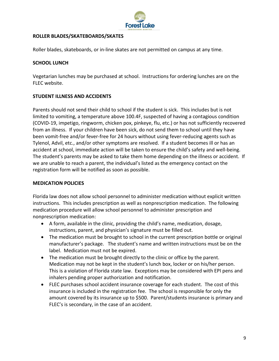

## **ROLLER BLADES/SKATEBOARDS/SKATES**

Roller blades, skateboards, or in-line skates are not permitted on campus at any time.

#### **SCHOOL LUNCH**

Vegetarian lunches may be purchased at school. Instructions for ordering lunches are on the FLEC website.

#### **STUDENT ILLNESS AND ACCIDENTS**

Parents should not send their child to school if the student is sick. This includes but is not limited to vomiting, a temperature above 100.4F, suspected of having a contagious condition (COVID-19, impetigo, ringworm, chicken pox, pinkeye, flu, etc.) or has not sufficiently recovered from an illness. If your children have been sick, do not send them to school until they have been vomit-free and/or fever-free for 24 hours without using fever-reducing agents such as Tylenol, Advil, etc., and/or other symptoms are resolved. If a student becomes ill or has an accident at school, immediate action will be taken to ensure the child's safety and well-being. The student's parents may be asked to take them home depending on the illness or accident. If we are unable to reach a parent, the individual's listed as the emergency contact on the registration form will be notified as soon as possible.

#### **MEDICATION POLICIES**

Florida law does not allow school personnel to administer medication without explicit written instructions. This includes prescription as well as nonprescription medication. The following medication procedure will allow school personnel to administer prescription and nonprescription medication:

- A form, available in the clinic, providing the child's name, medication, dosage, instructions, parent, and physician's signature must be filled out.
- The medication must be brought to school in the current prescription bottle or original manufacturer's package. The student's name and written instructions must be on the label. Medication must not be expired.
- The medication must be brought directly to the clinic or office by the parent. Medication may not be kept in the student's lunch box, locker or on his/her person. This is a violation of Florida state law. Exceptions may be considered with EPI pens and inhalers pending proper authorization and notification.
- FLEC purchases school accident insurance coverage for each student. The cost of this insurance is included in the registration fee. The school is responsible for only the amount covered by its insurance up to \$500. Parent/students insurance is primary and FLEC's is secondary, in the case of an accident.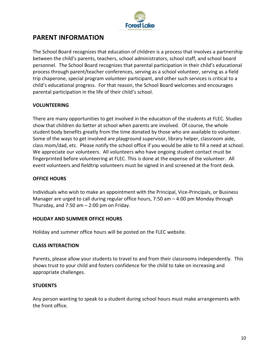

# **PARENT INFORMATION**

The School Board recognizes that education of children is a process that involves a partnership between the child's parents, teachers, school administrators, school staff, and school board personnel. The School Board recognizes that parental participation in their child's educational process through parent/teacher conferences, serving as a school volunteer, serving as a field trip chaperone, special program volunteer participant, and other such services is critical to a child's educational progress. For that reason, the School Board welcomes and encourages parental participation in the life of their child's school.

# **VOLUNTEERING**

There are many opportunities to get involved in the education of the students at FLEC. Studies show that children do better at school when parents are involved. Of course, the whole student body benefits greatly from the time donated by those who are available to volunteer. Some of the ways to get involved are playground supervisor, library helper, classroom aide, class mom/dad, etc. Please notify the school office if you would be able to fill a need at school. We appreciate our volunteers. All volunteers who have ongoing student contact must be fingerprinted before volunteering at FLEC. This is done at the expense of the volunteer. All event volunteers and fieldtrip volunteers must be signed in and screened at the front desk.

## **OFFICE HOURS**

Individuals who wish to make an appointment with the Principal, Vice-Principals, or Business Manager are urged to call during regular office hours, 7:50 am – 4:00 pm Monday through Thursday, and  $7:50$  am  $-2:00$  pm on Friday.

#### **HOLIDAY AND SUMMER OFFICE HOURS**

Holiday and summer office hours will be posted on the FLEC website.

#### **CLASS INTERACTION**

Parents, please allow your students to travel to and from their classrooms independently. This shows trust to your child and fosters confidence for the child to take on increasing and appropriate challenges.

#### **STUDENTS**

Any person wanting to speak to a student during school hours must make arrangements with the front office.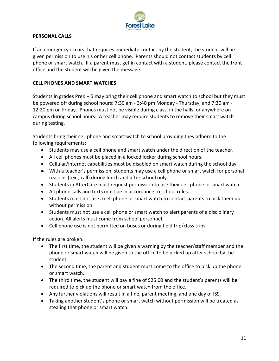

#### **PERSONAL CALLS**

If an emergency occurs that requires immediate contact by the student, the student will be given permission to use his or her cell phone. Parents should not contact students by cell phone or smart watch. If a parent must get in contact with a student, please contact the front office and the student will be given the message.

# **CELL PHONES AND SMART WATCHES**

Students in grades PreK – 5 may bring their cell phone and smart watch to school but they must be powered off during school hours: 7:30 am - 3:40 pm Monday - Thursday, and 7:30 am - 12:20 pm on Friday. Phones must not be visible during class, in the halls, or anywhere on campus during school hours. A teacher may require students to remove their smart watch during testing.

Students bring their cell phone and smart watch to school providing they adhere to the following requirements:

- Students may use a cell phone and smart watch under the direction of the teacher.
- All cell phones must be placed in a locked locker during school hours.
- Cellular/internet capabilities must be disabled on smart watch during the school day.
- With a teacher's permission, students may use a cell phone or smart watch for personal reasons (text, call) during lunch and after school only.
- Students in AfterCare must request permission to use their cell phone or smart watch.
- All phone calls and texts must be in accordance to school rules.
- Students must not use a cell phone or smart watch to contact parents to pick them up without permission.
- Students must not use a cell phone or smart watch to alert parents of a disciplinary action. All alerts must come from school personnel.
- Cell phone use is not permitted on buses or during field trip/class trips.

If the rules are broken:

- The first time, the student will be given a warning by the teacher/staff member and the phone or smart watch will be given to the office to be picked up after school by the student.
- The second time, the parent and student must come to the office to pick up the phone or smart watch.
- The third time, the student will pay a fine of \$25.00 and the student's parents will be required to pick up the phone or smart watch from the office.
- Any further violations will result in a fine, parent meeting, and one day of ISS.
- Taking another student's phone or smart watch without permission will be treated as stealing that phone or smart watch.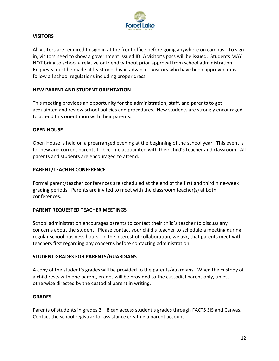

## **VISITORS**

All visitors are required to sign in at the front office before going anywhere on campus. To sign in, visitors need to show a government issued ID. A visitor's pass will be issued. Students MAY NOT bring to school a relative or friend without prior approval from school administration. Requests must be made at least one day in advance. Visitors who have been approved must follow all school regulations including proper dress.

#### **NEW PARENT AND STUDENT ORIENTATION**

This meeting provides an opportunity for the administration, staff, and parents to get acquainted and review school policies and procedures. New students are strongly encouraged to attend this orientation with their parents.

#### **OPEN HOUSE**

Open House is held on a prearranged evening at the beginning of the school year. This event is for new and current parents to become acquainted with their child's teacher and classroom. All parents and students are encouraged to attend.

#### **PARENT/TEACHER CONFERENCE**

Formal parent/teacher conferences are scheduled at the end of the first and third nine-week grading periods. Parents are invited to meet with the classroom teacher(s) at both conferences.

#### **PARENT REQUESTED TEACHER MEETINGS**

School administration encourages parents to contact their child's teacher to discuss any concerns about the student. Please contact your child's teacher to schedule a meeting during regular school business hours. In the interest of collaboration, we ask, that parents meet with teachers first regarding any concerns before contacting administration.

#### **STUDENT GRADES FOR PARENTS/GUARDIANS**

A copy of the student's grades will be provided to the parents/guardians. When the custody of a child rests with one parent, grades will be provided to the custodial parent only, unless otherwise directed by the custodial parent in writing.

#### **GRADES**

Parents of students in grades 3 – 8 can access student's grades through FACTS SIS and Canvas. Contact the school registrar for assistance creating a parent account.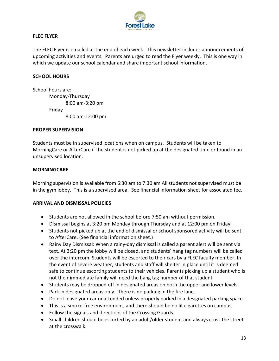

## **FLEC FLYER**

The FLEC Flyer is emailed at the end of each week. This newsletter includes announcements of upcoming activities and events. Parents are urged to read the Flyer weekly. This is one way in which we update our school calendar and share important school information.

#### **SCHOOL HOURS**

School hours are: Monday-Thursday 8:00 am-3:20 pm Friday 8:00 am-12:00 pm

#### **PROPER SUPERVISION**

Students must be in supervised locations when on campus. Students will be taken to MorningCare or AfterCare if the student is not picked up at the designated time or found in an unsupervised location.

#### **MORNINGCARE**

Morning supervision is available from 6:30 am to 7:30 am All students not supervised must be in the gym lobby. This is a supervised area. See financial information sheet for associated fee.

#### **ARRIVAL AND DISMISSAL POLICIES**

- Students are not allowed in the school before 7:50 am without permission.
- Dismissal begins at 3:20 pm Monday through Thursday and at 12:00 pm on Friday.
- Students not picked up at the end of dismissal or school sponsored activity will be sent to AfterCare. (See financial information sheet.)
- Rainy Day Dismissal: When a rainy-day dismissal is called a parent alert will be sent via text. At 3:20 pm the lobby will be closed, and students' hang tag numbers will be called over the intercom. Students will be escorted to their cars by a FLEC faculty member. In the event of severe weather, students and staff will shelter in place until it is deemed safe to continue escorting students to their vehicles. Parents picking up a student who is not their immediate family will need the hang tag number of that student.
- Students may be dropped off in designated areas on both the upper and lower levels.
- Park in designated areas only. There is no parking in the fire lane.
- Do not leave your car unattended unless properly parked in a designated parking space.
- This is a smoke-free environment, and there should be no lit cigarettes on campus.
- Follow the signals and directions of the Crossing Guards.
- Small children should be escorted by an adult/older student and always cross the street at the crosswalk.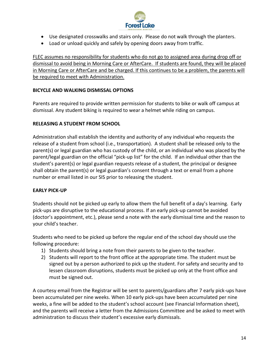

- Use designated crosswalks and stairs only. Please do not walk through the planters.
- Load or unload quickly and safely by opening doors away from traffic.

FLEC assumes no responsibility for students who do not go to assigned area during drop off or dismissal to avoid being in Morning Care or AfterCare. If students are found, they will be placed in Morning Care or AfterCare and be charged. If this continues to be a problem, the parents will be required to meet with Administration.

## **BICYCLE AND WALKING DISMISSAL OPTIONS**

Parents are required to provide written permission for students to bike or walk off campus at dismissal. Any student biking is required to wear a helmet while riding on campus.

#### **RELEASING A STUDENT FROM SCHOOL**

Administration shall establish the identity and authority of any individual who requests the release of a student from school (i.e., transportation). A student shall be released only to the parent(s) or legal guardian who has custody of the child, or an individual who was placed by the parent/legal guardian on the official "pick-up list" for the child. If an individual other than the student's parent(s) or legal guardian requests release of a student, the principal or designee shall obtain the parent(s) or legal guardian's consent through a text or email from a phone number or email listed in our SIS prior to releasing the student.

#### **EARLY PICK-UP**

Students should not be picked up early to allow them the full benefit of a day's learning. Early pick-ups are disruptive to the educational process. If an early pick-up cannot be avoided (doctor's appointment, etc.), please send a note with the early dismissal time and the reason to your child's teacher.

Students who need to be picked up before the regular end of the school day should use the following procedure:

- 1) Students should bring a note from their parents to be given to the teacher.
- 2) Students will report to the front office at the appropriate time. The student must be signed out by a person authorized to pick up the student. For safety and security and to lessen classroom disruptions, students must be picked up only at the front office and must be signed out.

A courtesy email from the Registrar will be sent to parents/guardians after 7 early pick-ups have been accumulated per nine weeks. When 10 early pick-ups have been accumulated per nine weeks, a fine will be added to the student's school account (see Financial Information sheet), and the parents will receive a letter from the Admissions Committee and be asked to meet with administration to discuss their student's excessive early dismissals.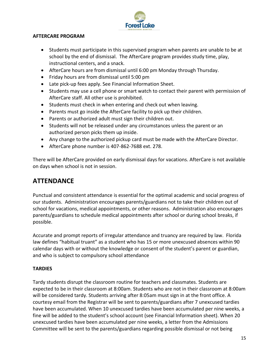

#### **AFTERCARE PROGRAM**

- Students must participate in this supervised program when parents are unable to be at school by the end of dismissal. The AfterCare program provides study time, play, instructional centers, and a snack.
- AfterCare hours are from dismissal until 6:00 pm Monday through Thursday.
- Friday hours are from dismissal until 5:00 pm
- Late pick-up fees apply. See Financial Information Sheet.
- Students may use a cell phone or smart watch to contact their parent with permission of AfterCare staff. All other use is prohibited.
- Students must check in when entering and check out when leaving.
- Parents must go inside the AfterCare facility to pick up their children.
- Parents or authorized adult must sign their children out.
- Students will not be released under any circumstances unless the parent or an authorized person picks them up inside.
- Any change to the authorized pickup card must be made with the AfterCare Director.
- AfterCare phone number is 407-862-7688 ext. 278.

There will be AfterCare provided on early dismissal days for vacations. AfterCare is not available on days when school is not in session.

# **ATTENDANCE**

Punctual and consistent attendance is essential for the optimal academic and social progress of our students. Administration encourages parents/guardians not to take their children out of school for vacations, medical appointments, or other reasons. Administration also encourages parents/guardians to schedule medical appointments after school or during school breaks, if possible.

Accurate and prompt reports of irregular attendance and truancy are required by law. Florida law defines "habitual truant" as a student who has 15 or more unexcused absences within 90 calendar days with or without the knowledge or consent of the student's parent or guardian, and who is subject to compulsory school attendance

# **TARDIES**

Tardy students disrupt the classroom routine for teachers and classmates. Students are expected to be in their classroom at 8:00am. Students who are not in their classroom at 8:00am will be considered tardy. Students arriving after 8:05am must sign in at the front office. A courtesy email from the Registrar will be sent to parents/guardians after 7 unexcused tardies have been accumulated. When 10 unexcused tardies have been accumulated per nine weeks, a fine will be added to the student's school account (see Financial Information sheet). When 20 unexcused tardies have been accumulated per nine weeks, a letter from the Admissions Committee will be sent to the parents/guardians regarding possible dismissal or not being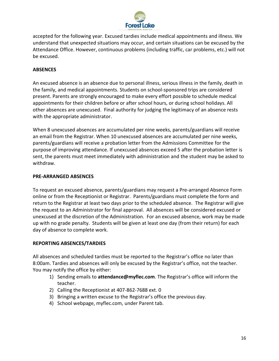

accepted for the following year. Excused tardies include medical appointments and illness. We understand that unexpected situations may occur, and certain situations can be excused by the Attendance Office. However, continuous problems (including traffic, car problems, etc.) will not be excused.

#### **ABSENCES**

An excused absence is an absence due to personal illness, serious illness in the family, death in the family, and medical appointments. Students on school-sponsored trips are considered present. Parents are strongly encouraged to make every effort possible to schedule medical appointments for their children before or after school hours, or during school holidays. All other absences are unexcused. Final authority for judging the legitimacy of an absence rests with the appropriate administrator.

When 8 unexcused absences are accumulated per nine weeks, parents/guardians will receive an email from the Registrar. When 10 unexcused absences are accumulated per nine weeks, parents/guardians will receive a probation letter from the Admissions Committee for the purpose of improving attendance. If unexcused absences exceed 5 after the probation letter is sent, the parents must meet immediately with administration and the student may be asked to withdraw.

#### **PRE-ARRANGED ABSENCES**

To request an excused absence, parents/guardians may request a Pre-arranged Absence Form online or from the Receptionist or Registrar. Parents/guardians must complete the form and return to the Registrar at least two days prior to the scheduled absence. The Registrar will give the request to an Administrator for final approval. All absences will be considered excused or unexcused at the discretion of the Administration. For an excused absence, work may be made up with no grade penalty. Students will be given at least one day (from their return) for each day of absence to complete work.

#### **REPORTING ABSENCES/TARDIES**

All absences and scheduled tardies must be reported to the Registrar's office no later than 8:00am. Tardies and absences will only be excused by the Registrar's office, not the teacher. You may notify the office by either:

- 1) Sending emails to **attendance@myflec.com**. The Registrar's office will inform the teacher.
- 2) Calling the Receptionist at 407-862-7688 ext. 0
- 3) Bringing a written excuse to the Registrar's office the previous day.
- 4) School webpage, myflec.com, under Parent tab.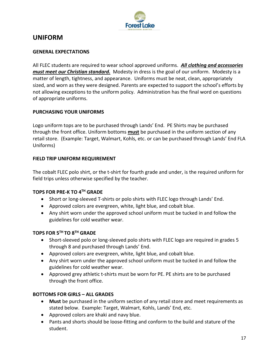

# **UNIFORM**

#### **GENERAL EXPECTATIONS**

All FLEC students are required to wear school approved uniforms. *All clothing and accessories must meet our Christian standard.* Modesty in dress is the goal of our uniform. Modesty is a matter of length, tightness, and appearance. Uniforms must be neat, clean, appropriately sized, and worn as they were designed. Parents are expected to support the school's efforts by not allowing exceptions to the uniform policy. Administration has the final word on questions of appropriate uniforms.

#### **PURCHASING YOUR UNIFORMS**

Logo uniform tops are to be purchased through Lands' End. PE Shirts may be purchased through the front office. Uniform bottoms **must** be purchased in the uniform section of any retail store. (Example: Target, Walmart, Kohls, etc. or can be purchased through Lands' End FLA Uniforms)

#### **FIELD TRIP UNIFORM REQUIREMENT**

The cobalt FLEC polo shirt, or the t-shirt for fourth grade and under, is the required uniform for field trips unless otherwise specified by the teacher.

# **TOPS FOR PRE-K TO 4TH GRADE**

- Short or long-sleeved T-shirts or polo shirts with FLEC logo through Lands' End.
- Approved colors are evergreen, white, light blue, and cobalt blue.
- Any shirt worn under the approved school uniform must be tucked in and follow the guidelines for cold weather wear.

# **TOPS FOR 5 TH TO 8TH GRADE**

- Short-sleeved polo or long-sleeved polo shirts with FLEC logo are required in grades 5 through 8 and purchased through Lands' End.
- Approved colors are evergreen, white, light blue, and cobalt blue.
- Any shirt worn under the approved school uniform must be tucked in and follow the guidelines for cold weather wear.
- Approved grey athletic t-shirts must be worn for PE. PE shirts are to be purchased through the front office.

# **BOTTOMS FOR GIRLS – ALL GRADES**

- **Must** be purchased in the uniform section of any retail store and meet requirements as stated below. Example: Target, Walmart, Kohls, Lands' End, etc.
- Approved colors are khaki and navy blue.
- Pants and shorts should be loose-fitting and conform to the build and stature of the student.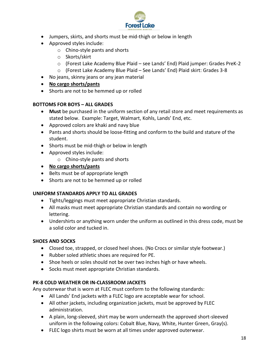

- Jumpers, skirts, and shorts must be mid-thigh or below in length
- Approved styles include:
	- o Chino-style pants and shorts
	- o Skorts/skirt
	- o (Forest Lake Academy Blue Plaid see Lands' End) Plaid jumper: Grades PreK-2
	- o (Forest Lake Academy Blue Plaid See Lands' End) Plaid skirt: Grades 3-8
- No jeans, skinny jeans or any jean material
- **No cargo shorts/pants**
- Shorts are not to be hemmed up or rolled

# **BOTTOMS FOR BOYS – ALL GRADES**

- **Must** be purchased in the uniform section of any retail store and meet requirements as stated below. Example: Target, Walmart, Kohls, Lands' End, etc.
- Approved colors are khaki and navy blue
- Pants and shorts should be loose-fitting and conform to the build and stature of the student.
- Shorts must be mid-thigh or below in length
- Approved styles include:
	- o Chino-style pants and shorts
- **No cargo shorts/pants**
- Belts must be of appropriate length
- Shorts are not to be hemmed up or rolled

# **UNIFORM STANDARDS APPLY TO ALL GRADES**

- Tights/leggings must meet appropriate Christian standards.
- All masks must meet appropriate Christian standards and contain no wording or lettering.
- Undershirts or anything worn under the uniform as outlined in this dress code, must be a solid color and tucked in.

# **SHOES AND SOCKS**

- Closed toe, strapped, or closed heel shoes. (No Crocs or similar style footwear.)
- Rubber soled athletic shoes are required for PE.
- Shoe heels or soles should not be over two inches high or have wheels.
- Socks must meet appropriate Christian standards.

# **PK-8 COLD WEATHER OR IN-CLASSROOM JACKETS**

Any outerwear that is worn at FLEC must conform to the following standards:

- All Lands' End jackets with a FLEC logo are acceptable wear for school.
- All other jackets, including organization jackets, must be approved by FLEC administration.
- A plain, long-sleeved, shirt may be worn underneath the approved short-sleeved uniform in the following colors: Cobalt Blue, Navy, White, Hunter Green, Gray(s).
- FLEC logo shirts must be worn at all times under approved outerwear.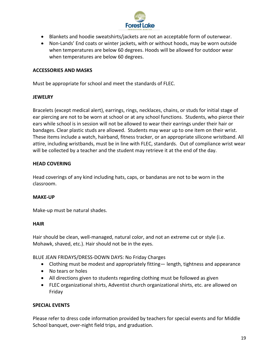

- Blankets and hoodie sweatshirts/jackets are not an acceptable form of outerwear.
- Non-Lands' End coats or winter jackets, with or without hoods, may be worn outside when temperatures are below 60 degrees. Hoods will be allowed for outdoor wear when temperatures are below 60 degrees.

#### **ACCESSORIES AND MASKS**

Must be appropriate for school and meet the standards of FLEC.

#### **JEWELRY**

Bracelets (except medical alert), earrings, rings, necklaces, chains, or studs for initial stage of ear piercing are not to be worn at school or at any school functions. Students, who pierce their ears while school is in session will not be allowed to wear their earrings under their hair or bandages. Clear plastic studs are allowed. Students may wear up to one item on their wrist. These items include a watch, hairband, fitness tracker, or an appropriate silicone wristband. All attire, including wristbands, must be in line with FLEC, standards. Out of compliance wrist wear will be collected by a teacher and the student may retrieve it at the end of the day.

#### **HEAD COVERING**

Head coverings of any kind including hats, caps, or bandanas are not to be worn in the classroom.

#### **MAKE-UP**

Make-up must be natural shades.

#### **HAIR**

Hair should be clean, well-managed, natural color, and not an extreme cut or style (i.e. Mohawk, shaved, etc.). Hair should not be in the eyes.

BLUE JEAN FRIDAYS/DRESS-DOWN DAYS: No Friday Charges

- Clothing must be modest and appropriately fitting— length, tightness and appearance
- No tears or holes
- All directions given to students regarding clothing must be followed as given
- FLEC organizational shirts, Adventist church organizational shirts, etc. are allowed on Friday

# **SPECIAL EVENTS**

Please refer to dress code information provided by teachers for special events and for Middle School banquet, over-night field trips, and graduation.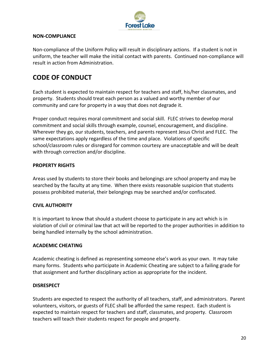

## **NON-COMPLIANCE**

Non-compliance of the Uniform Policy will result in disciplinary actions. If a student is not in uniform, the teacher will make the initial contact with parents. Continued non-compliance will result in action from Administration.

# **CODE OF CONDUCT**

Each student is expected to maintain respect for teachers and staff, his/her classmates, and property. Students should treat each person as a valued and worthy member of our community and care for property in a way that does not degrade it.

Proper conduct requires moral commitment and social skill. FLEC strives to develop moral commitment and social skills through example, counsel, encouragement, and discipline. Wherever they go, our students, teachers, and parents represent Jesus Christ and FLEC. The same expectations apply regardless of the time and place. Violations of specific school/classroom rules or disregard for common courtesy are unacceptable and will be dealt with through correction and/or discipline.

#### **PROPERTY RIGHTS**

Areas used by students to store their books and belongings are school property and may be searched by the faculty at any time. When there exists reasonable suspicion that students possess prohibited material, their belongings may be searched and/or confiscated.

#### **CIVIL AUTHORITY**

It is important to know that should a student choose to participate in any act which is in violation of civil or criminal law that act will be reported to the proper authorities in addition to being handled internally by the school administration.

#### **ACADEMIC CHEATING**

Academic cheating is defined as representing someone else's work as your own. It may take many forms. Students who participate in Academic Cheating are subject to a failing grade for that assignment and further disciplinary action as appropriate for the incident.

#### **DISRESPECT**

Students are expected to respect the authority of all teachers, staff, and administrators. Parent volunteers, visitors, or guests of FLEC shall be afforded the same respect. Each student is expected to maintain respect for teachers and staff, classmates, and property. Classroom teachers will teach their students respect for people and property.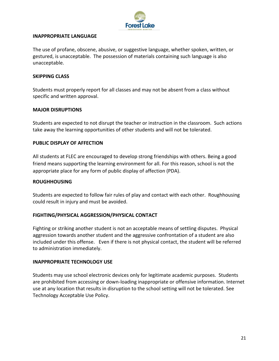

#### **INAPPROPRIATE LANGUAGE**

The use of profane, obscene, abusive, or suggestive language, whether spoken, written, or gestured, is unacceptable. The possession of materials containing such language is also unacceptable.

#### **SKIPPING CLASS**

Students must properly report for all classes and may not be absent from a class without specific and written approval.

#### **MAJOR DISRUPTIONS**

Students are expected to not disrupt the teacher or instruction in the classroom. Such actions take away the learning opportunities of other students and will not be tolerated.

#### **PUBLIC DISPLAY OF AFFECTION**

All students at FLEC are encouraged to develop strong friendships with others. Being a good friend means supporting the learning environment for all. For this reason, school is not the appropriate place for any form of public display of affection (PDA).

#### **ROUGHHOUSING**

Students are expected to follow fair rules of play and contact with each other. Roughhousing could result in injury and must be avoided.

#### **FIGHTING/PHYSICAL AGGRESSION/PHYSICAL CONTACT**

Fighting or striking another student is not an acceptable means of settling disputes. Physical aggression towards another student and the aggressive confrontation of a student are also included under this offense. Even if there is not physical contact, the student will be referred to administration immediately.

#### **INAPPROPRIATE TECHNOLOGY USE**

Students may use school electronic devices only for legitimate academic purposes. Students are prohibited from accessing or down-loading inappropriate or offensive information. Internet use at any location that results in disruption to the school setting will not be tolerated. See Technology Acceptable Use Policy.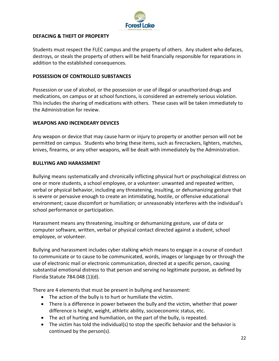

#### **DEFACING & THEFT OF PROPERTY**

Students must respect the FLEC campus and the property of others. Any student who defaces, destroys, or steals the property of others will be held financially responsible for reparations in addition to the established consequences.

#### **POSSESSION OF CONTROLLED SUBSTANCES**

Possession or use of alcohol, or the possession or use of illegal or unauthorized drugs and medications, on campus or at school functions, is considered an extremely serious violation. This includes the sharing of medications with others. These cases will be taken immediately to the Administration for review.

#### **WEAPONS AND INCENDEARY DEVICES**

Any weapon or device that may cause harm or injury to property or another person will not be permitted on campus. Students who bring these items, such as firecrackers, lighters, matches, knives, firearms, or any other weapons, will be dealt with immediately by the Administration.

#### **BULLYING AND HARASSMENT**

Bullying means systematically and chronically inflicting physical hurt or psychological distress on one or more students, a school employee, or a volunteer: unwanted and repeated written, verbal or physical behavior, including any threatening, insulting, or dehumanizing gesture that is severe or pervasive enough to create an intimidating, hostile, or offensive educational environment; cause discomfort or humiliation; or unreasonably interferes with the individual's school performance or participation.

Harassment means any threatening, insulting or dehumanizing gesture, use of data or computer software, written, verbal or physical contact directed against a student, school employee, or volunteer.

Bullying and harassment includes cyber stalking which means to engage in a course of conduct to communicate or to cause to be communicated, words, images or language by or through the use of electronic mail or electronic communication, directed at a specific person, causing substantial emotional distress to that person and serving no legitimate purpose, as defined by Florida Statute 784.048 (1)(d).

There are 4 elements that must be present in bullying and harassment:

- The action of the bully is to hurt or humiliate the victim.
- There is a difference in power between the bully and the victim, whether that power difference is height, weight, athletic ability, socioeconomic status, etc.
- The act of hurting and humiliation, on the part of the bully, is repeated.
- The victim has told the individual(s) to stop the specific behavior and the behavior is continued by the person(s).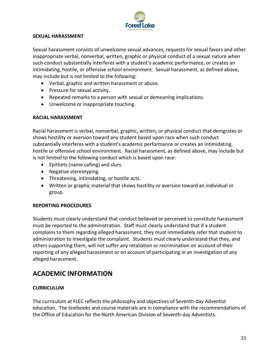

#### **SEXUAL HARASSMENT**

Sexual harassment consists of unwelcome sexual advances, requests for sexual favors and other inappropriate verbal, nonverbal, written, graphic or physical conduct of a sexual nature when such conduct substantially interferes with a student's academic performance, or creates an intimidating, hostile, or offensive school environment. Sexual harassment, as defined above, may include but is not limited to the following:

- Verbal, graphic and written harassment or abuse.
- Pressure for sexual activity.
- Repeated remarks to a person with sexual or demeaning implications.
- Unwelcome or inappropriate touching.

# **RACIAL HARASSMENT**

Racial harassment is verbal, nonverbal, graphic, written, or physical conduct that denigrates or shows hostility or aversion toward any student based upon race when such conduct substantially interferes with a student's academic performance or creates an intimidating, hostile or offensive school environment. Racial harassment, as defined above, may include but is not limited to the following conduct which is based upon race:

- Epithets (name calling) and slurs.
- Negative stereotyping.
- Threatening, intimidating, or hostile acts.
- Written or graphic material that shows hostility or aversion toward an individual or group.

# **REPORTING PROCEDURES**

Students must clearly understand that conduct believed or perceived to constitute harassment must be reported to the administration. Staff must clearly understand that if a student complains to them regarding alleged harassment, they must immediately refer that student to administration to investigate the complaint. Students must clearly understand that they, and others supporting them, will not suffer any retaliation or recrimination on account of their reporting of any alleged harassment or on account of participating in an investigation of any alleged harassment.

# **ACADEMIC INFORMATION**

# **CURRICULUM**

The curriculum at FLEC reflects the philosophy and objectives of Seventh-day Adventist education. The textbooks and course materials are in compliance with the recommendations of the Office of Education for the North American Division of Seventh-day Adventists.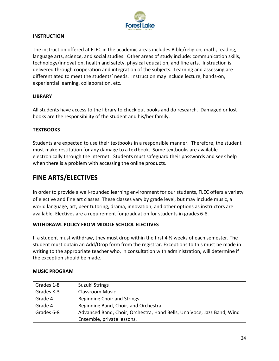

#### **INSTRUCTION**

The instruction offered at FLEC in the academic areas includes Bible/religion, math, reading, language arts, science, and social studies. Other areas of study include: communication skills, technology/innovation, health and safety, physical education, and fine arts. Instruction is delivered through cooperation and integration of the subjects. Learning and assessing are differentiated to meet the students' needs. Instruction may include lecture, hands-on, experiential learning, collaboration, etc.

#### **LIBRARY**

All students have access to the library to check out books and do research. Damaged or lost books are the responsibility of the student and his/her family.

#### **TEXTBOOKS**

Students are expected to use their textbooks in a responsible manner. Therefore, the student must make restitution for any damage to a textbook. Some textbooks are available electronically through the internet. Students must safeguard their passwords and seek help when there is a problem with accessing the online products.

# **FINE ARTS/ELECTIVES**

In order to provide a well-rounded learning environment for our students, FLEC offers a variety of elective and fine art classes. These classes vary by grade level, but may include music, a world language, art, peer tutoring, drama, innovation, and other options as instructors are available. Electives are a requirement for graduation for students in grades 6-8.

# **WITHDRAWL POLICY FROM MIDDLE SCHOOL ELECTIVES**

If a student must withdraw, they must drop within the first 4  $\frac{1}{2}$  weeks of each semester. The student must obtain an Add/Drop form from the registrar. Exceptions to this must be made in writing to the appropriate teacher who, in consultation with administration, will determine if the exception should be made.

| Grades 1-8 | Suzuki Strings                                                         |
|------------|------------------------------------------------------------------------|
| Grades K-3 | <b>Classroom Music</b>                                                 |
| Grade 4    | <b>Beginning Choir and Strings</b>                                     |
| Grade 4    | Beginning Band, Choir, and Orchestra                                   |
| Grades 6-8 | Advanced Band, Choir, Orchestra, Hand Bells, Una Voce, Jazz Band, Wind |
|            | Ensemble, private lessons.                                             |

#### **MUSIC PROGRAM**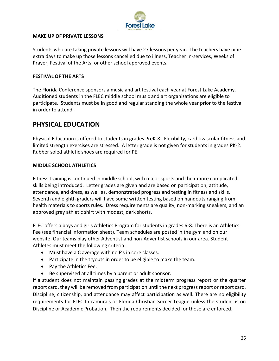

#### **MAKE UP OF PRIVATE LESSONS**

Students who are taking private lessons will have 27 lessons per year. The teachers have nine extra days to make up those lessons cancelled due to illness, Teacher In-services, Weeks of Prayer, Festival of the Arts, or other school approved events.

#### **FESTIVAL OF THE ARTS**

The Florida Conference sponsors a music and art festival each year at Forest Lake Academy. Auditioned students in the FLEC middle school music and art organizations are eligible to participate. Students must be in good and regular standing the whole year prior to the festival in order to attend.

# **PHYSICAL EDUCATION**

Physical Education is offered to students in grades PreK-8. Flexibility, cardiovascular fitness and limited strength exercises are stressed. A letter grade is not given for students in grades PK-2. Rubber soled athletic shoes are required for PE.

#### **MIDDLE SCHOOL ATHLETICS**

Fitness training is continued in middle school, with major sports and their more complicated skills being introduced. Letter grades are given and are based on participation, attitude, attendance, and dress, as well as, demonstrated progress and testing in fitness and skills. Seventh and eighth graders will have some written testing based on handouts ranging from health materials to sports rules. Dress requirements are quality, non-marking sneakers, and an approved grey athletic shirt with modest, dark shorts.

FLEC offers a boys and girls Athletics Program for students in grades 6-8. There is an Athletics Fee (see financial information sheet). Team schedules are posted in the gym and on our website. Our teams play other Adventist and non-Adventist schools in our area. Student Athletes must meet the following criteria:

- Must have a C average with no F's in core classes.
- Participate in the tryouts in order to be eligible to make the team.
- Pay the Athletics Fee.
- Be supervised at all times by a parent or adult sponsor.

If a student does not maintain passing grades at the midterm progress report or the quarter report card, they will be removed from participation until the next progress report or report card. Discipline, citizenship, and attendance may affect participation as well. There are no eligibility requirements for FLEC Intramurals or Florida Christian Soccer League unless the student is on Discipline or Academic Probation. Then the requirements decided for those are enforced.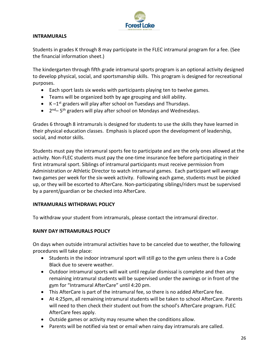

#### **INTRAMURALS**

Students in grades K through 8 may participate in the FLEC intramural program for a fee. (See the financial information sheet.)

The kindergarten through fifth grade intramural sports program is an optional activity designed to develop physical, social, and sportsmanship skills. This program is designed for recreational purposes.

- Each sport lasts six weeks with participants playing ten to twelve games.
- Teams will be organized both by age grouping and skill ability.
- $\bullet$  K  $-1^{st}$  graders will play after school on Tuesdays and Thursdays.
- $\bullet$  2<sup>nd</sup> 5<sup>th</sup> graders will play after school on Mondays and Wednesdays.

Grades 6 through 8 intramurals is designed for students to use the skills they have learned in their physical education classes. Emphasis is placed upon the development of leadership, social, and motor skills.

Students must pay the intramural sports fee to participate and are the only ones allowed at the activity. Non-FLEC students must pay the one-time insurance fee before participating in their first intramural sport. Siblings of intramural participants must receive permission from Administration or Athletic Director to watch intramural games. Each participant will average two games per week for the six-week activity. Following each game, students must be picked up, or they will be escorted to AfterCare. Non-participating siblings/riders must be supervised by a parent/guardian or be checked into AfterCare.

# **INTRAMURALS WITHDRAWL POLICY**

To withdraw your student from intramurals, please contact the intramural director.

#### **RAINY DAY INTRAMURALS POLICY**

On days when outside intramural activities have to be canceled due to weather, the following procedures will take place:

- Students in the indoor intramural sport will still go to the gym unless there is a Code Black due to severe weather.
- Outdoor intramural sports will wait until regular dismissal is complete and then any remaining intramural students will be supervised under the awnings or in front of the gym for "Intramural AfterCare" until 4:20 pm.
- This AfterCare is part of the intramural fee, so there is no added AfterCare fee.
- At 4:25pm, all remaining intramural students will be taken to school AfterCare. Parents will need to then check their student out from the school's AfterCare program. FLEC AfterCare fees apply.
- Outside games or activity may resume when the conditions allow.
- Parents will be notified via text or email when rainy day intramurals are called.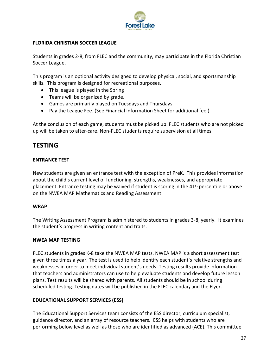

## **FLORIDA CHRISTIAN SOCCER LEAGUE**

Students in grades 2-8, from FLEC and the community, may participate in the Florida Christian Soccer League.

This program is an optional activity designed to develop physical, social, and sportsmanship skills. This program is designed for recreational purposes.

- This league is played in the Spring
- Teams will be organized by grade.
- Games are primarily played on Tuesdays and Thursdays.
- Pay the League Fee. (See Financial Information Sheet for additional fee.)

At the conclusion of each game, students must be picked up. FLEC students who are not picked up will be taken to after-care. Non-FLEC students require supervision at all times.

# **TESTING**

#### **ENTRANCE TEST**

New students are given an entrance test with the exception of PreK. This provides information about the child's current level of functioning, strengths, weaknesses, and appropriate placement. Entrance testing may be waived if student is scoring in the  $41<sup>st</sup>$  percentile or above on the NWEA MAP Mathematics and Reading Assessment.

#### **WRAP**

The Writing Assessment Program is administered to students in grades 3-8, yearly. It examines the student's progress in writing content and traits.

#### **NWEA MAP TESTING**

FLEC students in grades K-8 take the NWEA MAP tests. NWEA MAP is a short assessment test given three times a year. The test is used to help identify each student's relative strengths and weaknesses in order to meet individual student's needs. Testing results provide information that teachers and administrators can use to help evaluate students and develop future lesson plans. Test results will be shared with parents. All students should be in school during scheduled testing. Testing dates will be published in the FLEC calendar, and the Flyer.

#### **EDUCATIONAL SUPPORT SERVICES (ESS)**

The Educational Support Services team consists of the ESS director, curriculum specialist, guidance director, and an array of resource teachers. ESS helps with students who are performing below level as well as those who are identified as advanced (ACE). This committee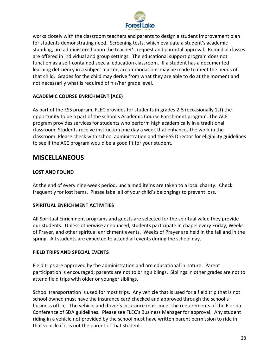

works closely with the classroom teachers and parents to design a student improvement plan for students demonstrating need. Screening tests, which evaluate a student's academic standing, are administered upon the teacher's request and parental approval. Remedial classes are offered in individual and group settings. The educational support program does not function as a self-contained special education classroom. If a student has a documented learning deficiency in a subject matter, accommodations may be made to meet the needs of that child. Grades for the child may derive from what they are able to do at the moment and not necessarily what is required of his/her grade level.

# **ACADEMIC COURSE ENRICHMENT (ACE)**

As part of the ESS program, FLEC provides for students in grades 2-5 (occasionally 1st) the opportunity to be a part of the school's Academic Course Enrichment program. The ACE program provides services for students who perform high academically in a traditional classroom. Students receive instruction one day a week that enhances the work in the classroom. Please check with school administration and the ESS Director for eligibility guidelines to see if the ACE program would be a good fit for your student.

# **MISCELLANEOUS**

# **LOST AND FOUND**

At the end of every nine-week period, unclaimed items are taken to a local charity. Check frequently for lost items. Please label all of your child's belongings to prevent loss.

# **SPIRITUAL ENRICHMENT ACTIVITIES**

All Spiritual Enrichment programs and guests are selected for the spiritual value they provide our students. Unless otherwise announced, students participate in chapel every Friday, Weeks of Prayer, and other spiritual enrichment events. Weeks of Prayer are held in the fall and in the spring. All students are expected to attend all events during the school day.

#### **FIELD TRIPS AND SPECIAL EVENTS**

Field trips are approved by the administration and are educational in nature. Parent participation is encouraged; parents are not to bring siblings. Siblings in other grades are not to attend field trips with older or younger siblings.

School transportation is used for most trips. Any vehicle that is used for a field trip that is not school owned must have the insurance card checked and approved through the school's business office. The vehicle and driver's insurance must meet the requirements of the Florida Conference of SDA guidelines. Please see FLEC's Business Manager for approval. Any student riding in a vehicle not provided by the school must have written parent permission to ride in that vehicle if it is not the parent of that student.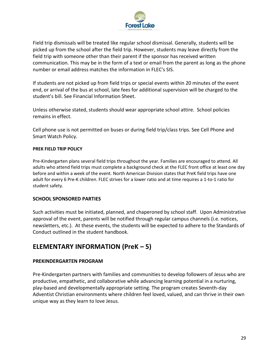

Field trip dismissals will be treated like regular school dismissal. Generally, students will be picked up from the school after the field trip. However, students may leave directly from the field trip with someone other than their parent if the sponsor has received written communication. This may be in the form of a text or email from the parent as long as the phone number or email address matches the information in FLEC's SIS.

If students are not picked up from field trips or special events within 20 minutes of the event end, or arrival of the bus at school, late fees for additional supervision will be charged to the student's bill. See Financial Information Sheet.

Unless otherwise stated, students should wear appropriate school attire. School policies remains in effect.

Cell phone use is not permitted on buses or during field trip/class trips. See Cell Phone and Smart Watch Policy.

#### **PREK FIELD TRIP POLICY**

Pre-Kindergarten plans several field trips throughout the year. Families are encouraged to attend. All adults who attend field trips must complete a background check at the FLEC front office at least one day before and within a week of the event. North American Division states that PreK field trips have one adult for every 6 Pre-K children. FLEC strives for a lower ratio and at time requires a 1-to-1 ratio for student safety.

#### **SCHOOL SPONSORED PARTIES**

Such activities must be initiated, planned, and chaperoned by school staff. Upon Administrative approval of the event, parents will be notified through regular campus channels (i.e. notices, newsletters, etc.). At these events, the students will be expected to adhere to the Standards of Conduct outlined in the student handbook.

# **ELEMENTARY INFORMATION (PreK – 5)**

# **PREKINDERGARTEN PROGRAM**

Pre-Kindergarten partners with families and communities to develop followers of Jesus who are productive, empathetic, and collaborative while advancing learning potential in a nurturing, play-based and developmentally appropriate setting. The program creates Seventh-day Adventist Christian environments where children feel loved, valued, and can thrive in their own unique way as they learn to love Jesus.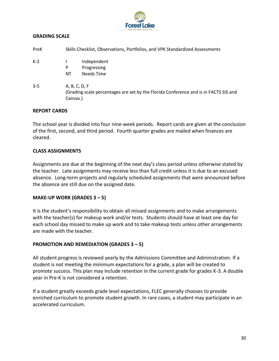

## **GRADING SCALE**

| PreK    | Skills Checklist, Observations, Portfolios, and VPK Standardized Assessments                                      |  |  |
|---------|-------------------------------------------------------------------------------------------------------------------|--|--|
| $K-2$   | Independent<br>Progressing<br>P<br>Needs Time<br>ΝT                                                               |  |  |
| $3 - 5$ | A, B, C, D, F<br>(Grading scale percentages are set by the Florida Conference and is in FACTS SIS and<br>Canvas.) |  |  |

#### **REPORT CARDS**

The school year is divided into four nine-week periods. Report cards are given at the conclusion of the first, second, and third period. Fourth quarter grades are mailed when finances are cleared.

#### **CLASS ASSIGNMENTS**

Assignments are due at the beginning of the next day's class period unless otherwise stated by the teacher. Late assignments may receive less than full credit unless it is due to an excused absence. Long-term projects and regularly scheduled assignments that were announced before the absence are still due on the assigned date.

#### **MAKE-UP WORK (GRADES 3 – 5)**

It is the student's responsibility to obtain all missed assignments and to make arrangements with the teacher(s) for makeup work and/or tests. Students should have at least one day for each school day missed to make up work and to take makeup tests unless other arrangements are made with the teacher.

# **PROMOTION AND REMEDIATION (GRADES 3 – 5)**

All student progress is reviewed yearly by the Admissions Committee and Administration. If a student is not meeting the minimum expectations for a grade, a plan will be created to promote success. This plan may include retention in the current grade for grades K-3. A double year in Pre-K is not considered a retention.

If a student greatly exceeds grade level expectations, FLEC generally chooses to provide enriched curriculum to promote student growth. In rare cases, a student may participate in an accelerated curriculum.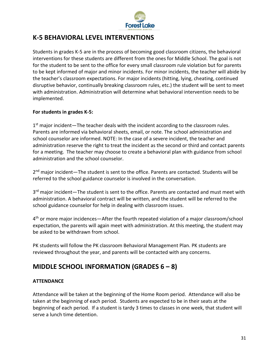

# **K-5 BEHAVIORAL LEVEL INTERVENTIONS**

Students in grades K-5 are in the process of becoming good classroom citizens, the behavioral interventions for these students are different from the ones for Middle School. The goal is not for the student to be sent to the office for every small classroom rule violation but for parents to be kept informed of major and minor incidents. For minor incidents, the teacher will abide by the teacher's classroom expectations. For major incidents (hitting, lying, cheating, continued disruptive behavior, continually breaking classroom rules, etc.) the student will be sent to meet with administration. Administration will determine what behavioral intervention needs to be implemented.

# **For students in grades K-5:**

1<sup>st</sup> major incident—The teacher deals with the incident according to the classroom rules. Parents are informed via behavioral sheets, email, or note. The school administration and school counselor are informed. NOTE: In the case of a severe incident, the teacher and administration reserve the right to treat the incident as the second or third and contact parents for a meeting. The teacher may choose to create a behavioral plan with guidance from school administration and the school counselor.

2<sup>nd</sup> major incident—The student is sent to the office. Parents are contacted. Students will be referred to the school guidance counselor is involved in the conversation.

3<sup>rd</sup> major incident—The student is sent to the office. Parents are contacted and must meet with administration. A behavioral contract will be written, and the student will be referred to the school guidance counselor for help in dealing with classroom issues.

4<sup>th</sup> or more major incidences—After the fourth repeated violation of a major classroom/school expectation, the parents will again meet with administration. At this meeting, the student may be asked to be withdrawn from school.

PK students will follow the PK classroom Behavioral Management Plan. PK students are reviewed throughout the year, and parents will be contacted with any concerns.

# **MIDDLE SCHOOL INFORMATION (GRADES 6 – 8)**

#### **ATTENDANCE**

Attendance will be taken at the beginning of the Home Room period. Attendance will also be taken at the beginning of each period. Students are expected to be in their seats at the beginning of each period. If a student is tardy 3 times to classes in one week, that student will serve a lunch time detention.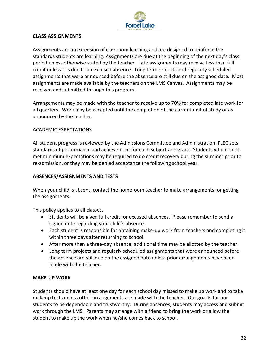

#### **CLASS ASSIGNMENTS**

Assignments are an extension of classroom learning and are designed to reinforce the standards students are learning. Assignments are due at the beginning of the next day's class period unless otherwise stated by the teacher. Late assignments may receive less than full credit unless it is due to an excused absence. Long term projects and regularly scheduled assignments that were announced before the absence are still due on the assigned date. Most assignments are made available by the teachers on the LMS Canvas. Assignments may be received and submitted through this program.

Arrangements may be made with the teacher to receive up to 70% for completed late work for all quarters. Work may be accepted until the completion of the current unit of study or as announced by the teacher.

#### ACADEMIC EXPECTATIONS

All student progress is reviewed by the Admissions Committee and Administration. FLEC sets standards of performance and achievement for each subject and grade. Students who do not met minimum expectations may be required to do credit recovery during the summer prior to re-admission, or they may be denied acceptance the following school year.

#### **ABSENCES/ASSIGNMENTS AND TESTS**

When your child is absent, contact the homeroom teacher to make arrangements for getting the assignments.

This policy applies to all classes.

- Students will be given full credit for excused absences. Please remember to send a signed note regarding your child's absence.
- Each student is responsible for obtaining make-up work from teachers and completing it within three days after returning to school.
- After more than a three-day absence, additional time may be allotted by the teacher.
- Long term projects and regularly scheduled assignments that were announced before the absence are still due on the assigned date unless prior arrangements have been made with the teacher.

#### **MAKE-UP WORK**

Students should have at least one day for each school day missed to make up work and to take makeup tests unless other arrangements are made with the teacher. Our goal is for our students to be dependable and trustworthy. During absences, students may access and submit work through the LMS. Parents may arrange with a friend to bring the work or allow the student to make up the work when he/she comes back to school.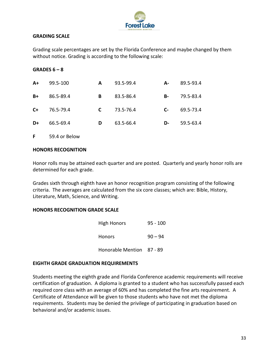

#### **GRADING SCALE**

Grading scale percentages are set by the Florida Conference and maybe changed by them without notice. Grading is according to the following scale:

#### **GRADES 6 – 8**

| $A+$ | 99.5-100  | A  | 93.5-99.4 | А-   | 89.5-93.4 |
|------|-----------|----|-----------|------|-----------|
| B+   | 86.5-89.4 | В  | 83.5-86.4 | В-   | 79.5-83.4 |
| $C+$ | 76.5-79.4 | C. | 73.5-76.4 | $C-$ | 69.5-73.4 |
| D+   | 66.5-69.4 | D  | 63.5-66.4 | D-   | 59.5-63.4 |
|      |           |    |           |      |           |

**F** 59.4 or Below

#### **HONORS RECOGNITION**

Honor rolls may be attained each quarter and are posted. Quarterly and yearly honor rolls are determined for each grade.

Grades sixth through eighth have an honor recognition program consisting of the following criteria. The averages are calculated from the six core classes; which are: Bible, History, Literature, Math, Science, and Writing.

#### **HONORS RECOGNITION GRADE SCALE**

| <b>High Honors</b>        | $95 - 100$ |
|---------------------------|------------|
| <b>Honors</b>             | $90 - 94$  |
| Honorable Mention 87 - 89 |            |

#### **EIGHTH GRADE GRADUATION REQUIREMENTS**

Students meeting the eighth grade and Florida Conference academic requirements will receive certification of graduation. A diploma is granted to a student who has successfully passed each required core class with an average of 60% and has completed the fine arts requirement. A Certificate of Attendance will be given to those students who have not met the diploma requirements. Students may be denied the privilege of participating in graduation based on behavioral and/or academic issues.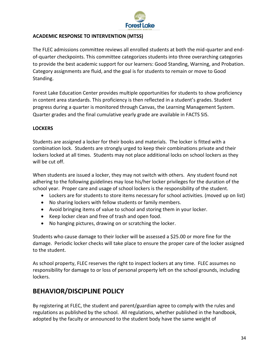

# **ACADEMIC RESPONSE TO INTERVENTION (MTSS)**

The FLEC admissions committee reviews all enrolled students at both the mid-quarter and endof-quarter checkpoints. This committee categorizes students into three overarching categories to provide the best academic support for our learners: Good Standing, Warning, and Probation. Category assignments are fluid, and the goal is for students to remain or move to Good Standing.

Forest Lake Education Center provides multiple opportunities for students to show proficiency in content area standards. This proficiency is then reflected in a student's grades. Student progress during a quarter is monitored through Canvas, the Learning Management System. Quarter grades and the final cumulative yearly grade are available in FACTS SIS.

# **LOCKERS**

Students are assigned a locker for their books and materials. The locker is fitted with a combination lock. Students are strongly urged to keep their combinations private and their lockers locked at all times. Students may not place additional locks on school lockers as they will be cut off.

When students are issued a locker, they may not switch with others. Any student found not adhering to the following guidelines may lose his/her locker privileges for the duration of the school year. Proper care and usage of school lockers is the responsibility of the student.

- Lockers are for students to store items necessary for school activities. (moved up on list)
- No sharing lockers with fellow students or family members.
- Avoid bringing items of value to school and storing them in your locker.
- Keep locker clean and free of trash and open food.
- No hanging pictures, drawing on or scratching the locker.

Students who cause damage to their locker will be assessed a \$25.00 or more fine for the damage. Periodic locker checks will take place to ensure the proper care of the locker assigned to the student.

As school property, FLEC reserves the right to inspect lockers at any time. FLEC assumes no responsibility for damage to or loss of personal property left on the school grounds, including lockers.

# **BEHAVIOR/DISCIPLINE POLICY**

By registering at FLEC, the student and parent/guardian agree to comply with the rules and regulations as published by the school. All regulations, whether published in the handbook, adopted by the faculty or announced to the student body have the same weight of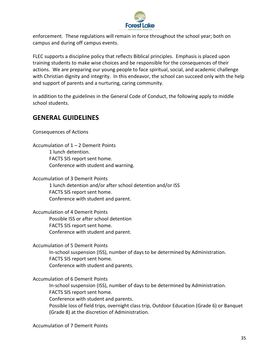

enforcement. These regulations will remain in force throughout the school year; both on campus and during off campus events.

FLEC supports a discipline policy that reflects Biblical principles. Emphasis is placed upon training students to make wise choices and be responsible for the consequences of their actions. We are preparing our young people to face spiritual, social, and academic challenge with Christian dignity and integrity. In this endeavor, the school can succeed only with the help and support of parents and a nurturing, caring community.

In addition to the guidelines in the General Code of Conduct, the following apply to middle school students.

# **GENERAL GUIDELINES**

Consequences of Actions

Accumulation of 1 – 2 Demerit Points 1 lunch detention. FACTS SIS report sent home. Conference with student and warning.

Accumulation of 3 Demerit Points 1 lunch detention and/or after school detention and/or ISS FACTS SIS report sent home. Conference with student and parent.

Accumulation of 4 Demerit Points Possible ISS or after school detention FACTS SIS report sent home. Conference with student and parent.

Accumulation of 5 Demerit Points

In-school suspension (ISS), number of days to be determined by Administration. FACTS SIS report sent home. Conference with student and parents.

Accumulation of 6 Demerit Points

In-school suspension (ISS), number of days to be determined by Administration. FACTS SIS report sent home. Conference with student and parents.

Possible loss of field trips, overnight class trip, Outdoor Education (Grade 6) or Banquet (Grade 8) at the discretion of Administration.

Accumulation of 7 Demerit Points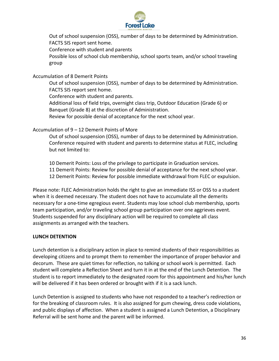

Out of school suspension (OSS), number of days to be determined by Administration. FACTS SIS report sent home.

Conference with student and parents

Possible loss of school club membership, school sports team, and/or school traveling group

Accumulation of 8 Demerit Points

Out of school suspension (OSS), number of days to be determined by Administration. FACTS SIS report sent home.

Conference with student and parents.

Additional loss of field trips, overnight class trip, Outdoor Education (Grade 6) or Banquet (Grade 8) at the discretion of Administration.

Review for possible denial of acceptance for the next school year.

Accumulation of 9 – 12 Demerit Points of More

Out of school suspension (OSS), number of days to be determined by Administration. Conference required with student and parents to determine status at FLEC, including but not limited to:

10 Demerit Points: Loss of the privilege to participate in Graduation services.

11 Demerit Points: Review for possible denial of acceptance for the next school year.

12 Demerit Points: Review for possible immediate withdrawal from FLEC or expulsion.

Please note: FLEC Administration holds the right to give an immediate ISS or OSS to a student when it is deemed necessary. The student does not have to accumulate all the demerits necessary for a one-time egregious event. Students may lose school club membership, sports team participation, and/or traveling school group participation over one aggrieves event. Students suspended for any disciplinary action will be required to complete all class assignments as arranged with the teachers.

# **LUNCH DETENTION**

Lunch detention is a disciplinary action in place to remind students of their responsibilities as developing citizens and to prompt them to remember the importance of proper behavior and decorum. These are quiet times for reflection, no talking or school work is permitted. Each student will complete a Reflection Sheet and turn it in at the end of the Lunch Detention. The student is to report immediately to the designated room for this appointment and his/her lunch will be delivered if it has been ordered or brought with if it is a sack lunch.

Lunch Detention is assigned to students who have not responded to a teacher's redirection or for the breaking of classroom rules. It is also assigned for gum chewing, dress code violations, and public displays of affection. When a student is assigned a Lunch Detention, a Disciplinary Referral will be sent home and the parent will be informed.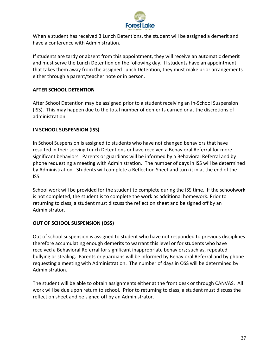

When a student has received 3 Lunch Detentions, the student will be assigned a demerit and have a conference with Administration.

If students are tardy or absent from this appointment, they will receive an automatic demerit and must serve the Lunch Detention on the following day. If students have an appointment that takes them away from the assigned Lunch Detention, they must make prior arrangements either through a parent/teacher note or in person.

# **AFTER SCHOOL DETENTION**

After School Detention may be assigned prior to a student receiving an In-School Suspension (ISS). This may happen due to the total number of demerits earned or at the discretions of administration.

# **IN SCHOOL SUSPENSION (ISS)**

In School Suspension is assigned to students who have not changed behaviors that have resulted in their serving Lunch Detentions or have received a Behavioral Referral for more significant behaviors. Parents or guardians will be informed by a Behavioral Referral and by phone requesting a meeting with Administration. The number of days in ISS will be determined by Administration. Students will complete a Reflection Sheet and turn it in at the end of the ISS.

School work will be provided for the student to complete during the ISS time. If the schoolwork is not completed, the student is to complete the work as additional homework. Prior to returning to class, a student must discuss the reflection sheet and be signed off by an Administrator.

# **OUT OF SCHOOL SUSPENSION (OSS)**

Out of school suspension is assigned to student who have not responded to previous disciplines therefore accumulating enough demerits to warrant this level or for students who have received a Behavioral Referral for significant inappropriate behaviors; such as, repeated bullying or stealing. Parents or guardians will be informed by Behavioral Referral and by phone requesting a meeting with Administration. The number of days in OSS will be determined by Administration.

The student will be able to obtain assignments either at the front desk or through CANVAS. All work will be due upon return to school. Prior to returning to class, a student must discuss the reflection sheet and be signed off by an Administrator.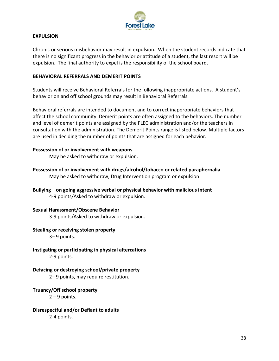

#### **EXPULSION**

Chronic or serious misbehavior may result in expulsion. When the student records indicate that there is no significant progress in the behavior or attitude of a student, the last resort will be expulsion. The final authority to expel is the responsibility of the school board.

#### **BEHAVIORAL REFERRALS AND DEMERIT POINTS**

Students will receive Behavioral Referrals for the following inappropriate actions. A student's behavior on and off school grounds may result in Behavioral Referrals.

Behavioral referrals are intended to document and to correct inappropriate behaviors that affect the school community. Demerit points are often assigned to the behaviors. The number and level of demerit points are assigned by the FLEC administration and/or the teachers in consultation with the administration. The Demerit Points range is listed below. Multiple factors are used in deciding the number of points that are assigned for each behavior.

#### **Possession of or involvement with weapons**

May be asked to withdraw or expulsion.

- **Possession of or involvement with drugs/alcohol/tobacco or related paraphernalia** May be asked to withdraw, Drug Intervention program or expulsion.
- **Bullying—on going aggressive verbal or physical behavior with malicious intent** 4-9 points/Asked to withdraw or expulsion.

#### **Sexual Harassment/Obscene Behavior**

3-9 points/Asked to withdraw or expulsion.

#### **Stealing or receiving stolen property**

3– 9 points.

**Instigating or participating in physical altercations** 2-9 points.

# **Defacing or destroying school/private property**

2– 9 points, may require restitution.

# **Truancy/Off school property**

 $2 - 9$  points.

**Disrespectful and/or Defiant to adults** 2-4 points.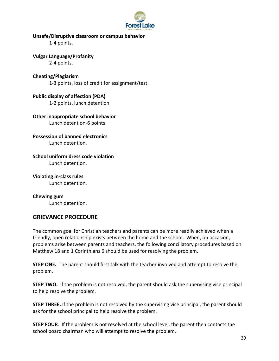

#### **Unsafe/Disruptive classroom or campus behavior**

1-4 points.

**Vulgar Language/Profanity**

2-4 points.

**Cheating/Plagiarism**

1-3 points, loss of credit for assignment/test.

**Public display of affection (PDA)** 1-2 points, lunch detention

**Other inappropriate school behavior** Lunch detention-6 points

**Possession of banned electronics**

Lunch detention.

**School uniform dress code violation** Lunch detention.

**Violating in-class rules** Lunch detention.

**Chewing gum** Lunch detention.

# **GRIEVANCE PROCEDURE**

The common goal for Christian teachers and parents can be more readily achieved when a friendly, open relationship exists between the home and the school. When, on occasion, problems arise between parents and teachers, the following conciliatory procedures based on Matthew 18 and 1 Corinthians 6 should be used for resolving the problem.

**STEP ONE.** The parent should first talk with the teacher involved and attempt to resolve the problem.

**STEP TWO.** If the problem is not resolved, the parent should ask the supervising vice principal to help resolve the problem.

**STEP THREE.** If the problem is not resolved by the supervising vice principal, the parent should ask for the school principal to help resolve the problem.

**STEP FOUR**. If the problem is not resolved at the school level, the parent then contacts the school board chairman who will attempt to resolve the problem.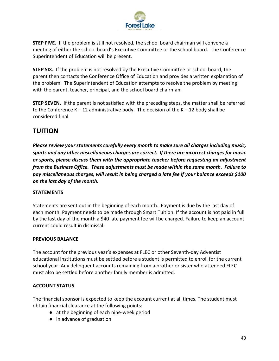

**STEP FIVE.** If the problem is still not resolved, the school board chairman will convene a meeting of either the school board's Executive Committee or the school board. The Conference Superintendent of Education will be present.

**STEP SIX.** If the problem is not resolved by the Executive Committee or school board, the parent then contacts the Conference Office of Education and provides a written explanation of the problem. The Superintendent of Education attempts to resolve the problem by meeting with the parent, teacher, principal, and the school board chairman.

**STEP SEVEN.** If the parent is not satisfied with the preceding steps, the matter shall be referred to the Conference  $K - 12$  administrative body. The decision of the  $K - 12$  body shall be considered final.

# **TUITION**

*Please review your statements carefully every month to make sure all charges including music, sports and any other miscellaneous charges are correct. If there are incorrect charges for music or sports, please discuss them with the appropriate teacher before requesting an adjustment from the Business Office. These adjustments must be made within the same month. Failure to pay miscellaneous charges, will result in being charged a late fee if your balance exceeds \$100 on the last day of the month.*

# **STATEMENTS**

Statements are sent out in the beginning of each month. Payment is due by the last day of each month. Payment needs to be made through Smart Tuition. If the account is not paid in full by the last day of the month a \$40 late payment fee will be charged. Failure to keep an account current could result in dismissal.

# **PREVIOUS BALANCE**

The account for the previous year's expenses at FLEC or other Seventh-day Adventist educational institutions must be settled before a student is permitted to enroll for the current school year. Any delinquent accounts remaining from a brother or sister who attended FLEC must also be settled before another family member is admitted.

# **ACCOUNT STATUS**

The financial sponsor is expected to keep the account current at all times. The student must obtain financial clearance at the following points:

- at the beginning of each nine-week period
- in advance of graduation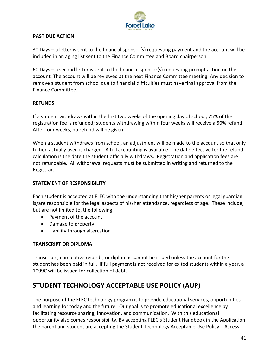

# **PAST DUE ACTION**

30 Days – a letter is sent to the financial sponsor(s) requesting payment and the account will be included in an aging list sent to the Finance Committee and Board chairperson.

60 Days – a second letter is sent to the financial sponsor(s) requesting prompt action on the account. The account will be reviewed at the next Finance Committee meeting. Any decision to remove a student from school due to financial difficulties must have final approval from the Finance Committee.

# **REFUNDS**

If a student withdraws within the first two weeks of the opening day of school, 75% of the registration fee is refunded; students withdrawing within four weeks will receive a 50% refund. After four weeks, no refund will be given.

When a student withdraws from school, an adjustment will be made to the account so that only tuition actually used is charged. A full accounting is available. The date effective for the refund calculation is the date the student officially withdraws. Registration and application fees are not refundable. All withdrawal requests must be submitted in writing and returned to the Registrar.

# **STATEMENT OF RESPONSIBILITY**

Each student is accepted at FLEC with the understanding that his/her parents or legal guardian is/are responsible for the legal aspects of his/her attendance, regardless of age. These include, but are not limited to, the following:

- Payment of the account
- Damage to property
- Liability through altercation

# **TRANSCRIPT OR DIPLOMA**

Transcripts, cumulative records, or diplomas cannot be issued unless the account for the student has been paid in full. If full payment is not received for exited students within a year, a 1099C will be issued for collection of debt.

# **STUDENT TECHNOLOGY ACCEPTABLE USE POLICY (AUP)**

The purpose of the FLEC technology program is to provide educational services, opportunities and learning for today and the future. Our goal is to promote educational excellence by facilitating resource sharing, innovation, and communication. With this educational opportunity also comes responsibility. By accepting FLEC's Student Handbook in the Application the parent and student are accepting the Student Technology Acceptable Use Policy. Access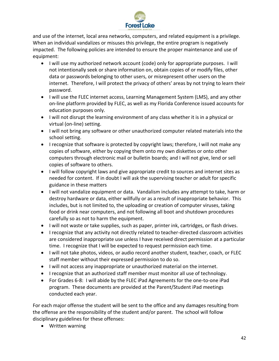

and use of the internet, local area networks, computers, and related equipment is a privilege. When an individual vandalizes or misuses this privilege, the entire program is negatively impacted. The following policies are intended to ensure the proper maintenance and use of equipment:

- I will use my authorized network account (code) only for appropriate purposes. I will not intentionally seek or share information on, obtain copies of or modify files, other data or passwords belonging to other users, or misrepresent other users on the internet. Therefore, I will protect the privacy of others' areas by not trying to learn their password.
- I will use the FLEC internet access, Learning Management System (LMS), and any other on-line platform provided by FLEC, as well as my Florida Conference issued accounts for education purposes only.
- I will not disrupt the learning environment of any class whether it is in a physical or virtual (on-line) setting.
- I will not bring any software or other unauthorized computer related materials into the school setting.
- I recognize that software is protected by copyright laws; therefore, I will not make any copies of software, either by copying them onto my own diskettes or onto other computers through electronic mail or bulletin boards; and I will not give, lend or sell copies of software to others.
- I will follow copyright laws and give appropriate credit to sources and internet sites as needed for content. If in doubt I will ask the supervising teacher or adult for specific guidance in these matters
- I will not vandalize equipment or data. Vandalism includes any attempt to take, harm or destroy hardware or data, either willfully or as a result of inappropriate behavior. This includes, but is not limited to, the uploading or creation of computer viruses, taking food or drink near computers, and not following all boot and shutdown procedures carefully so as not to harm the equipment.
- I will not waste or take supplies, such as paper, printer ink, cartridges, or flash drives.
- I recognize that any activity not directly related to teacher-directed classroom activities are considered inappropriate use unless I have received direct permission at a particular time. I recognize that I will be expected to request permission each time.
- I will not take photos, videos, or audio record another student, teacher, coach, or FLEC staff member without their expressed permission to do so.
- I will not access any inappropriate or unauthorized material on the internet.
- I recognize that an authorized staff member must monitor all use of technology.
- For Grades 6-8: I will abide by the FLEC iPad Agreements for the one-to-one iPad program. These documents are provided at the Parent/Student iPad meetings conducted each year.

For each major offense the student will be sent to the office and any damages resulting from the offense are the responsibility of the student and/or parent. The school will follow disciplinary guidelines for these offenses:

• Written warning